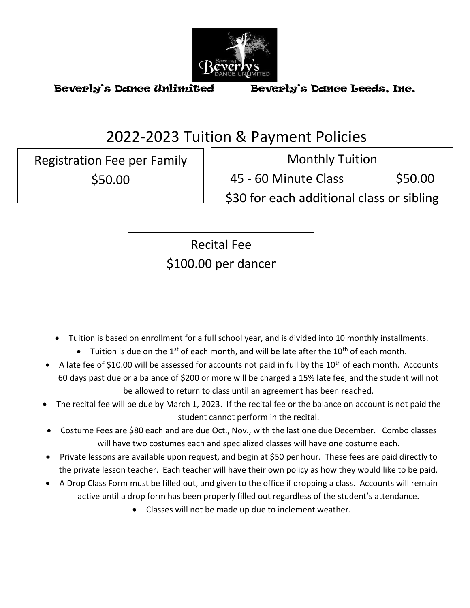

# 2022-2023 Tuition & Payment Policies

Registration Fee per Family \$50.00

Monthly Tuition

45 - 60 Minute Class \$50.00

\$30 for each additional class or sibling

Recital Fee

\$100.00 per dancer

- Tuition is based on enrollment for a full school year, and is divided into 10 monthly installments.
	- Tuition is due on the 1<sup>st</sup> of each month, and will be late after the 10<sup>th</sup> of each month.
- A late fee of \$10.00 will be assessed for accounts not paid in full by the  $10<sup>th</sup>$  of each month. Accounts 60 days past due or a balance of \$200 or more will be charged a 15% late fee, and the student will not be allowed to return to class until an agreement has been reached.
- The recital fee will be due by March 1, 2023. If the recital fee or the balance on account is not paid the student cannot perform in the recital.
- Costume Fees are \$80 each and are due Oct., Nov., with the last one due December. Combo classes will have two costumes each and specialized classes will have one costume each.
- Private lessons are available upon request, and begin at \$50 per hour. These fees are paid directly to the private lesson teacher. Each teacher will have their own policy as how they would like to be paid.
- A Drop Class Form must be filled out, and given to the office if dropping a class. Accounts will remain active until a drop form has been properly filled out regardless of the student's attendance.
	- Classes will not be made up due to inclement weather.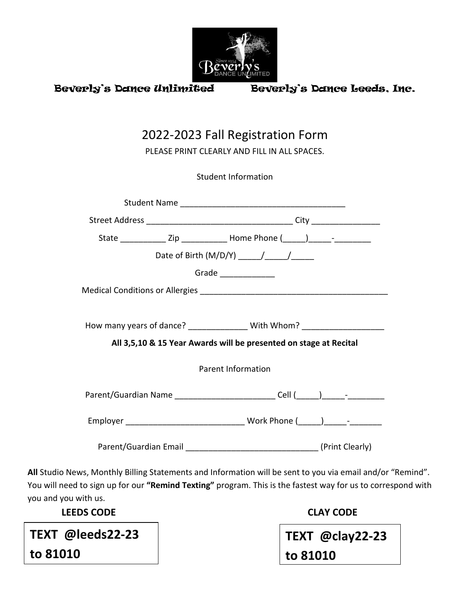

| 2022-2023 Fall Registration Form<br>PLEASE PRINT CLEARLY AND FILL IN ALL SPACES. |  |                                                                                  |  |  |  |  |  |
|----------------------------------------------------------------------------------|--|----------------------------------------------------------------------------------|--|--|--|--|--|
|                                                                                  |  | <b>Student Information</b>                                                       |  |  |  |  |  |
|                                                                                  |  |                                                                                  |  |  |  |  |  |
|                                                                                  |  |                                                                                  |  |  |  |  |  |
|                                                                                  |  |                                                                                  |  |  |  |  |  |
|                                                                                  |  |                                                                                  |  |  |  |  |  |
|                                                                                  |  | Grade                                                                            |  |  |  |  |  |
|                                                                                  |  |                                                                                  |  |  |  |  |  |
|                                                                                  |  |                                                                                  |  |  |  |  |  |
| How many years of dance? ________________ With Whom? ___________________________ |  |                                                                                  |  |  |  |  |  |
|                                                                                  |  | All 3,5,10 & 15 Year Awards will be presented on stage at Recital                |  |  |  |  |  |
| <b>Parent Information</b>                                                        |  |                                                                                  |  |  |  |  |  |
|                                                                                  |  | Parent/Guardian Name _______________________________Cell (_____)______-_________ |  |  |  |  |  |
|                                                                                  |  |                                                                                  |  |  |  |  |  |
|                                                                                  |  |                                                                                  |  |  |  |  |  |

**All** Studio News, Monthly Billing Statements and Information will be sent to you via email and/or "Remind". You will need to sign up for our **"Remind Texting"** program. This is the fastest way for us to correspond with you and you with us.

 **LEEDS CODE CLAY CODE**

**TEXT @leeds22-23**

**to 81010**

**TEXT @clay22-23 to 81010**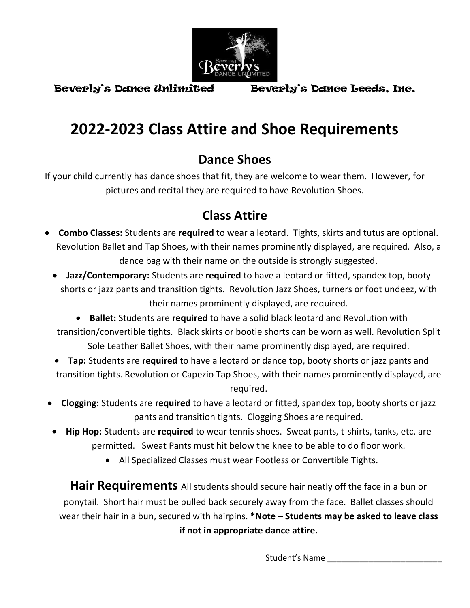

# **2022-2023 Class Attire and Shoe Requirements**

## **Dance Shoes**

If your child currently has dance shoes that fit, they are welcome to wear them. However, for pictures and recital they are required to have Revolution Shoes.

## **Class Attire**

- **Combo Classes:** Students are **required** to wear a leotard. Tights, skirts and tutus are optional. Revolution Ballet and Tap Shoes, with their names prominently displayed, are required. Also, a dance bag with their name on the outside is strongly suggested.
	- **Jazz/Contemporary:** Students are **required** to have a leotard or fitted, spandex top, booty shorts or jazz pants and transition tights. Revolution Jazz Shoes, turners or foot undeez, with their names prominently displayed, are required.
	- **Ballet:** Students are **required** to have a solid black leotard and Revolution with transition/convertible tights. Black skirts or bootie shorts can be worn as well. Revolution Split Sole Leather Ballet Shoes, with their name prominently displayed, are required.
	- **Tap:** Students are **required** to have a leotard or dance top, booty shorts or jazz pants and transition tights. Revolution or Capezio Tap Shoes, with their names prominently displayed, are required.
	- **Clogging:** Students are **required** to have a leotard or fitted, spandex top, booty shorts or jazz pants and transition tights. Clogging Shoes are required.
	- **Hip Hop:** Students are **required** to wear tennis shoes. Sweat pants, t-shirts, tanks, etc. are permitted. Sweat Pants must hit below the knee to be able to do floor work.
		- All Specialized Classes must wear Footless or Convertible Tights.

**Hair Requirements** All students should secure hair neatly off the face in a bun or ponytail. Short hair must be pulled back securely away from the face. Ballet classes should wear their hair in a bun, secured with hairpins. **\*Note – Students may be asked to leave class if not in appropriate dance attire.**

Student's Name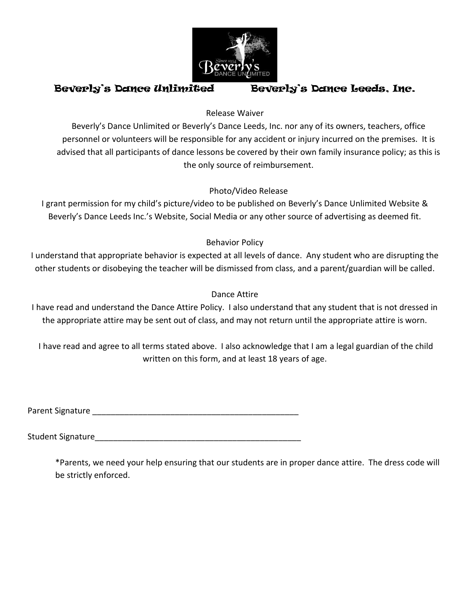

### Release Waiver

Beverly's Dance Unlimited or Beverly's Dance Leeds, Inc. nor any of its owners, teachers, office personnel or volunteers will be responsible for any accident or injury incurred on the premises. It is advised that all participants of dance lessons be covered by their own family insurance policy; as this is the only source of reimbursement.

## Photo/Video Release

I grant permission for my child's picture/video to be published on Beverly's Dance Unlimited Website & Beverly's Dance Leeds Inc.'s Website, Social Media or any other source of advertising as deemed fit.

## Behavior Policy

I understand that appropriate behavior is expected at all levels of dance. Any student who are disrupting the other students or disobeying the teacher will be dismissed from class, and a parent/guardian will be called.

### Dance Attire

I have read and understand the Dance Attire Policy. I also understand that any student that is not dressed in the appropriate attire may be sent out of class, and may not return until the appropriate attire is worn.

I have read and agree to all terms stated above. I also acknowledge that I am a legal guardian of the child written on this form, and at least 18 years of age.

Parent Signature **Executive Signature** and the set of the set of the set of the set of the set of the set of the set of the set of the set of the set of the set of the set of the set of the set of the set of the set of the

Student Signature

\*Parents, we need your help ensuring that our students are in proper dance attire. The dress code will be strictly enforced.